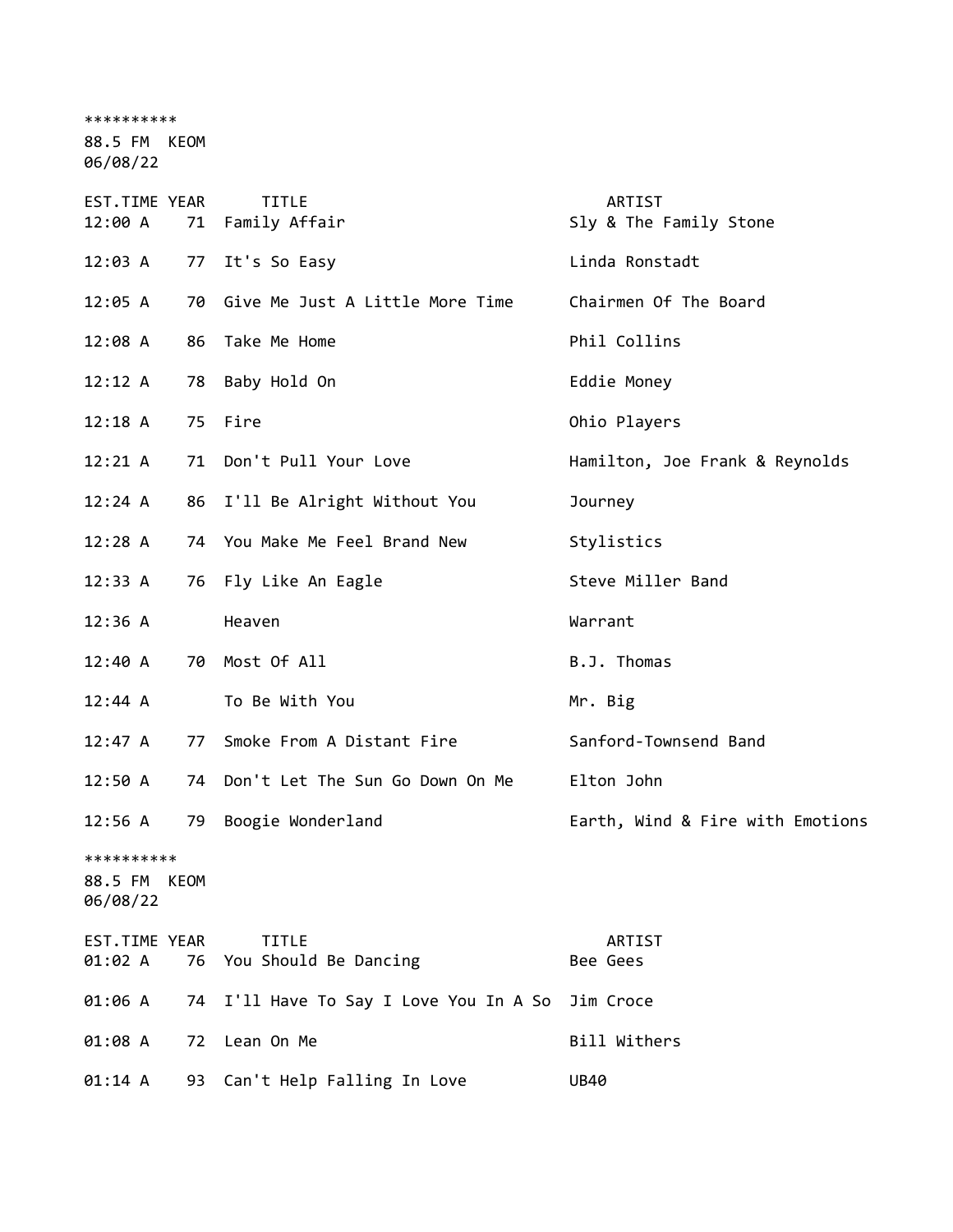\*\*\*\*\*\*\*\*\*\* 88.5 FM KEOM 06/08/22 EST.TIME YEAR TITLE THE REST.TIME YEAR 12:00 A 71 Family Affair Sly & The Family Stone 12:03 A 77 It's So Easy Linda Ronstadt 12:05 A 70 Give Me Just A Little More Time Chairmen Of The Board 12:08 A 86 Take Me Home **Phil Collins** 12:12 A 78 Baby Hold On Eddie Money 12:18 A 75 Fire Ohio Players 12:21 A 71 Don't Pull Your Love Hamilton, Joe Frank & Reynolds 12:24 A 86 I'll Be Alright Without You Journey 12:28 A 74 You Make Me Feel Brand New Stylistics 12:33 A 76 Fly Like An Eagle Steve Miller Band 12:36 A Heaven Warrant 12:40 A 70 Most Of All B.J. Thomas 12:44 A To Be With You Mr. Big 12:47 A 77 Smoke From A Distant Fire Sanford-Townsend Band 12:50 A 74 Don't Let The Sun Go Down On Me Elton John 12:56 A 79 Boogie Wonderland Earth, Wind & Fire with Emotions \*\*\*\*\*\*\*\*\*\* 88.5 FM KEOM 06/08/22 EST.TIME YEAR TITLE ARTIST 01:02 A 76 You Should Be Dancing The Ree Gees 01:06 A 74 I'll Have To Say I Love You In A So Jim Croce 01:08 A 72 Lean On Me Bill Withers 01:14 A 93 Can't Help Falling In Love UB40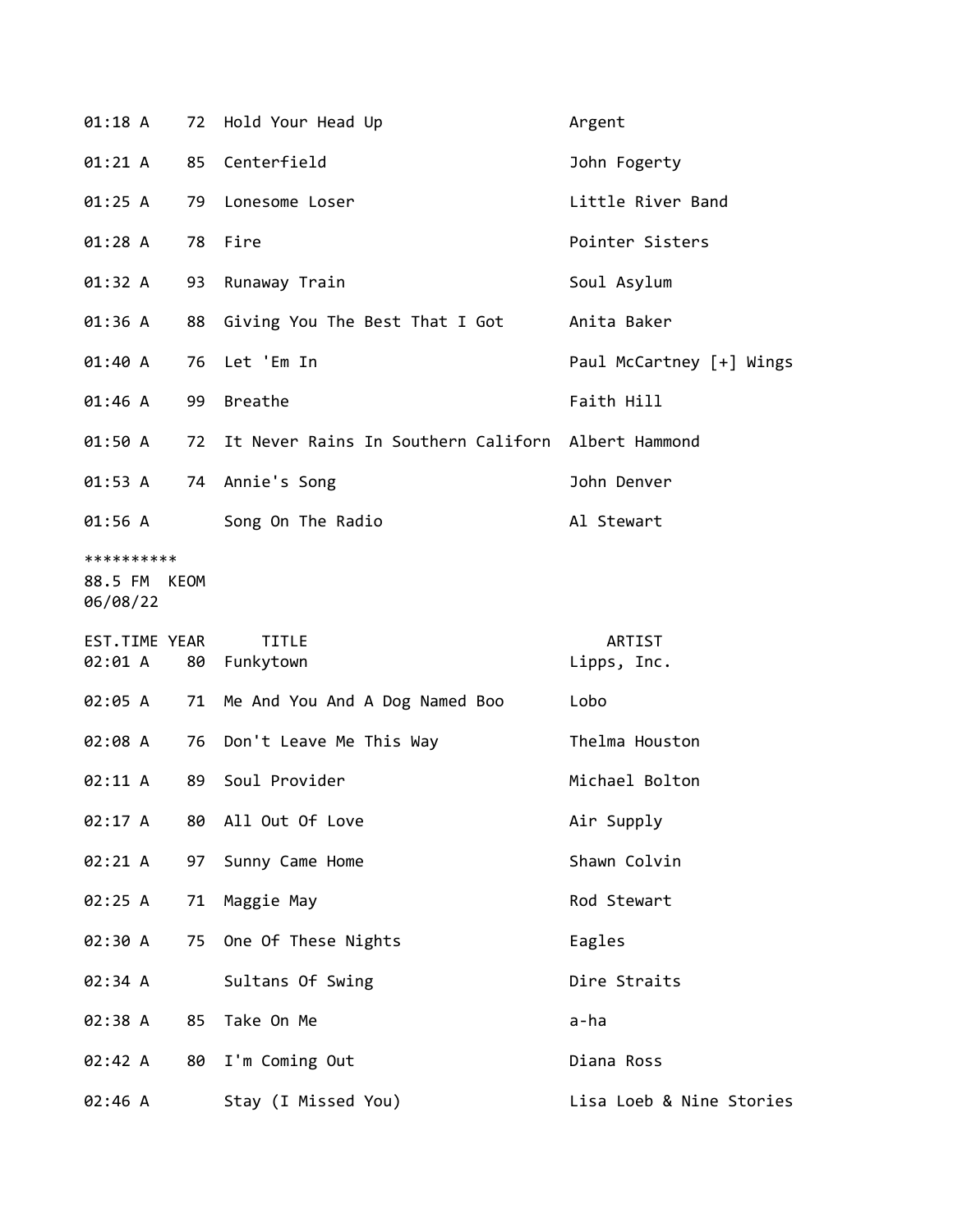| 01:18 A                                |    | 72 Hold Your Head Up                | Argent                   |
|----------------------------------------|----|-------------------------------------|--------------------------|
| 01:21 A                                | 85 | Centerfield                         | John Fogerty             |
| 01:25 A                                | 79 | Lonesome Loser                      | Little River Band        |
| 01:28A                                 | 78 | Fire                                | Pointer Sisters          |
| 01:32 A                                | 93 | Runaway Train                       | Soul Asylum              |
| 01:36 A                                | 88 | Giving You The Best That I Got      | Anita Baker              |
| 01:40 A                                | 76 | Let 'Em In                          | Paul McCartney [+] Wings |
| 01:46 A                                | 99 | <b>Breathe</b>                      | Faith Hill               |
| 01:50 A                                | 72 | It Never Rains In Southern Californ | Albert Hammond           |
| 01:53 A                                | 74 | Annie's Song                        | John Denver              |
| 01:56 A                                |    | Song On The Radio                   | Al Stewart               |
| **********<br>88.5 FM KEOM<br>06/08/22 |    |                                     |                          |
|                                        |    |                                     |                          |
| EST.TIME YEAR<br>02:01 A               | 80 | <b>TITLE</b><br>Funkytown           | ARTIST<br>Lipps, Inc.    |
| 02:05 A                                | 71 | Me And You And A Dog Named Boo      | Lobo                     |
| 02:08 A                                | 76 | Don't Leave Me This Way             | Thelma Houston           |
| 02:11 A                                | 89 | Soul Provider                       | Michael Bolton           |
| 02:17 A                                | 80 | All Out Of Love                     | Air Supply               |
| 02:21 A                                | 97 | Sunny Came Home                     | Shawn Colvin             |
| 02:25 A                                | 71 | Maggie May                          | Rod Stewart              |
| 02:30 A                                |    | 75 One Of These Nights              | Eagles                   |
| 02:34 A                                |    | Sultans Of Swing                    | Dire Straits             |
| 02:38 A                                | 85 | Take On Me                          | a-ha                     |
| 02:42 A                                | 80 | I'm Coming Out                      | Diana Ross               |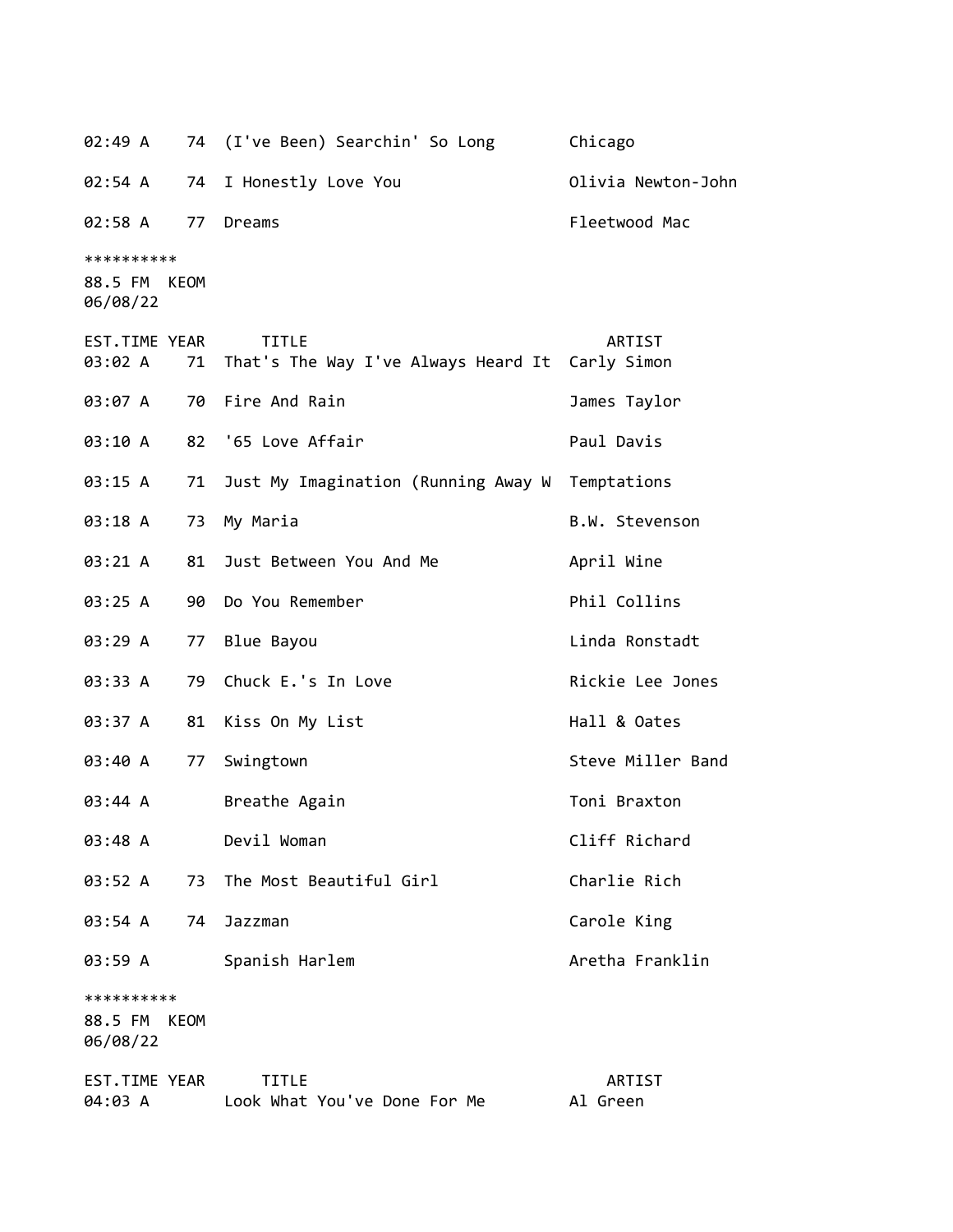02:49 A 74 (I've Been) Searchin' So Long Chicago 02:54 A 74 I Honestly Love You Olivia Newton-John 02:58 A 77 Dreams Fleetwood Mac \*\*\*\*\*\*\*\*\*\* 88.5 FM KEOM 06/08/22 EST.TIME YEAR TITLE ARTIST 03:02 A 71 That's The Way I've Always Heard It Carly Simon 03:07 A 70 Fire And Rain and the State of Taylor 03:10 A 82 '65 Love Affair And Paul Davis 03:15 A 71 Just My Imagination (Running Away W Temptations 03:18 A 73 My Maria B.W. Stevenson 03:21 A 81 Just Between You And Me April Wine 03:25 A 90 Do You Remember **Phil Collins** 03:29 A 77 Blue Bayou Charles Contract Linda Ronstadt 03:33 A 79 Chuck E.'s In Love Rickie Lee Jones 03:37 A 81 Kiss On My List Mall & Oates 03:40 A 77 Swingtown Steve Miller Band 03:44 A Breathe Again **Brams** Toni Braxton 03:48 A Devil Woman Cliff Richard 03:52 A 73 The Most Beautiful Girl Charlie Rich 03:54 A 74 Jazzman Carole King 03:59 A Spanish Harlem **Aretha Franklin** \*\*\*\*\*\*\*\*\*\* 88.5 FM KEOM 06/08/22 EST.TIME YEAR TITLE ARTIST 04:03 A Look What You've Done For Me Al Green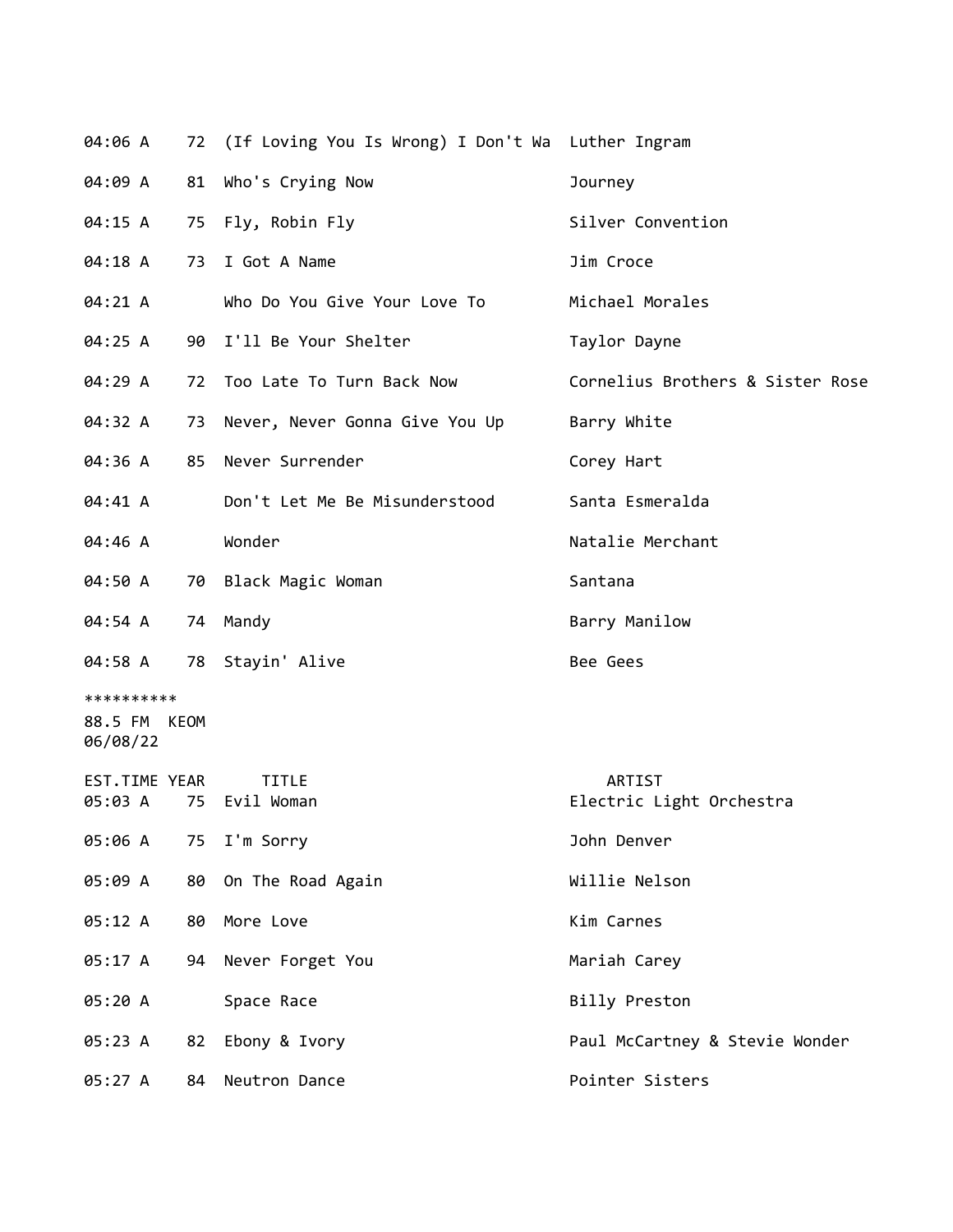| 04:06 A                                |    | 72 (If Loving You Is Wrong) I Don't Wa Luther Ingram |                                    |
|----------------------------------------|----|------------------------------------------------------|------------------------------------|
| 04:09 A                                |    | 81 Who's Crying Now                                  | Journey                            |
| 04:15 A                                |    | 75 Fly, Robin Fly                                    | Silver Convention                  |
| 04:18 A                                | 73 | I Got A Name                                         | Jim Croce                          |
| 04:21 A                                |    | Who Do You Give Your Love To                         | Michael Morales                    |
| 04:25 A                                |    | 90 I'll Be Your Shelter                              | Taylor Dayne                       |
| 04:29 A                                |    | 72 Too Late To Turn Back Now                         | Cornelius Brothers & Sister Rose   |
| 04:32 A                                |    | 73 Never, Never Gonna Give You Up                    | Barry White                        |
| 04:36 A                                |    | 85 Never Surrender                                   | Corey Hart                         |
| 04:41 A                                |    | Don't Let Me Be Misunderstood                        | Santa Esmeralda                    |
| 04:46 A                                |    | Wonder                                               | Natalie Merchant                   |
| 04:50 A                                |    | 70 Black Magic Woman                                 | Santana                            |
| 04:54 A                                |    | 74 Mandy                                             | Barry Manilow                      |
| 04:58 A                                |    | 78 Stayin' Alive                                     | Bee Gees                           |
| **********<br>88.5 FM KEOM<br>06/08/22 |    |                                                      |                                    |
| EST.TIME YEAR<br>05:03 A               | 75 | TITLE<br>Evil Woman                                  | ARTIST<br>Electric Light Orchestra |
| 05:06 A                                | 75 | I'm Sorry                                            | John Denver                        |
| 05:09 A                                | 80 | On The Road Again                                    | Willie Nelson                      |
| 05:12 A                                | 80 | More Love                                            | Kim Carnes                         |
| 05:17 A                                | 94 | Never Forget You                                     | Mariah Carey                       |
| 05:20 A                                |    | Space Race                                           | Billy Preston                      |
| 05:23 A                                | 82 | Ebony & Ivory                                        | Paul McCartney & Stevie Wonder     |
| 05:27 A                                | 84 | Neutron Dance                                        | Pointer Sisters                    |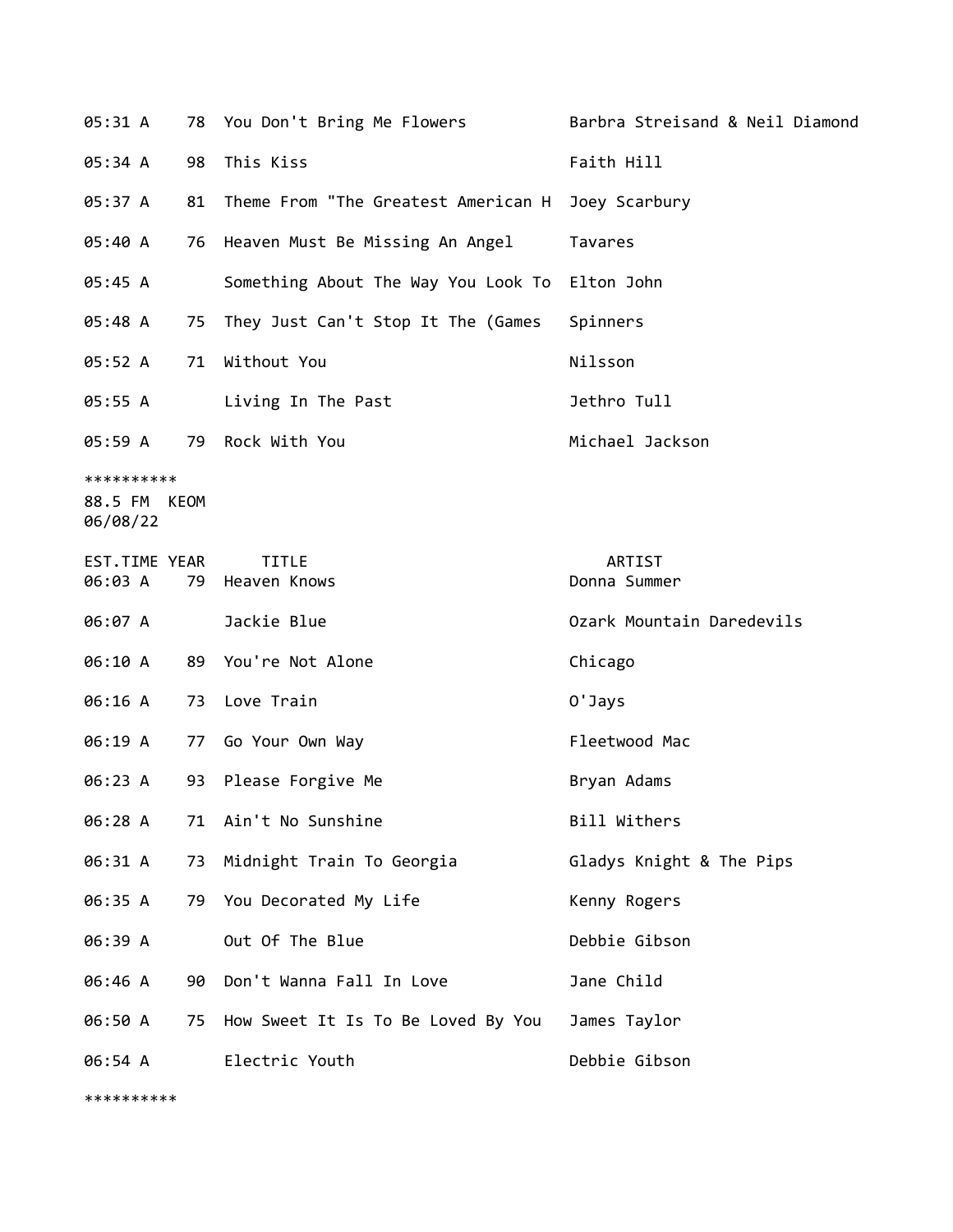| 05:31 A                                |    | 78 You Don't Bring Me Flowers                     | Barbra Streisand & Neil Diamond |
|----------------------------------------|----|---------------------------------------------------|---------------------------------|
| 05:34 A                                | 98 | This Kiss                                         | Faith Hill                      |
| 05:37 A                                | 81 | Theme From "The Greatest American H Joey Scarbury |                                 |
| 05:40 A                                |    | 76 Heaven Must Be Missing An Angel                | Tavares                         |
| 05:45 A                                |    | Something About The Way You Look To Elton John    |                                 |
| 05:48 A                                | 75 | They Just Can't Stop It The (Games                | Spinners                        |
| 05:52 A                                | 71 | Without You                                       | Nilsson                         |
| 05:55 A                                |    | Living In The Past                                | Jethro Tull                     |
| 05:59 A                                |    | 79 Rock With You                                  | Michael Jackson                 |
| **********<br>88.5 FM KEOM<br>06/08/22 |    |                                                   |                                 |
| EST.TIME YEAR<br>06:03 A               | 79 | <b>TITLE</b><br>Heaven Knows                      | ARTIST<br>Donna Summer          |
| 06:07 A                                |    | Jackie Blue                                       | Ozark Mountain Daredevils       |
| 06:10 A                                |    | 89 You're Not Alone                               | Chicago                         |
| 06:16 A                                |    | 73 Love Train                                     | O'Jays                          |
| 06:19 A                                |    | 77 Go Your Own Way                                | Fleetwood Mac                   |
| 06:23 A                                | 93 | Please Forgive Me                                 | Bryan Adams                     |
| 06:28 A                                |    | 71 Ain't No Sunshine                              | Bill Withers                    |
| 06:31 A                                | 73 | Midnight Train To Georgia                         | Gladys Knight & The Pips        |
| 06:35 A                                | 79 | You Decorated My Life                             | Kenny Rogers                    |
| 06:39 A                                |    | Out Of The Blue                                   | Debbie Gibson                   |
| 06:46 A                                | 90 | Don't Wanna Fall In Love                          | Jane Child                      |
| 06:50 A                                | 75 | How Sweet It Is To Be Loved By You                | James Taylor                    |
| 06:54 A                                |    | Electric Youth                                    | Debbie Gibson                   |

\*\*\*\*\*\*\*\*\*\*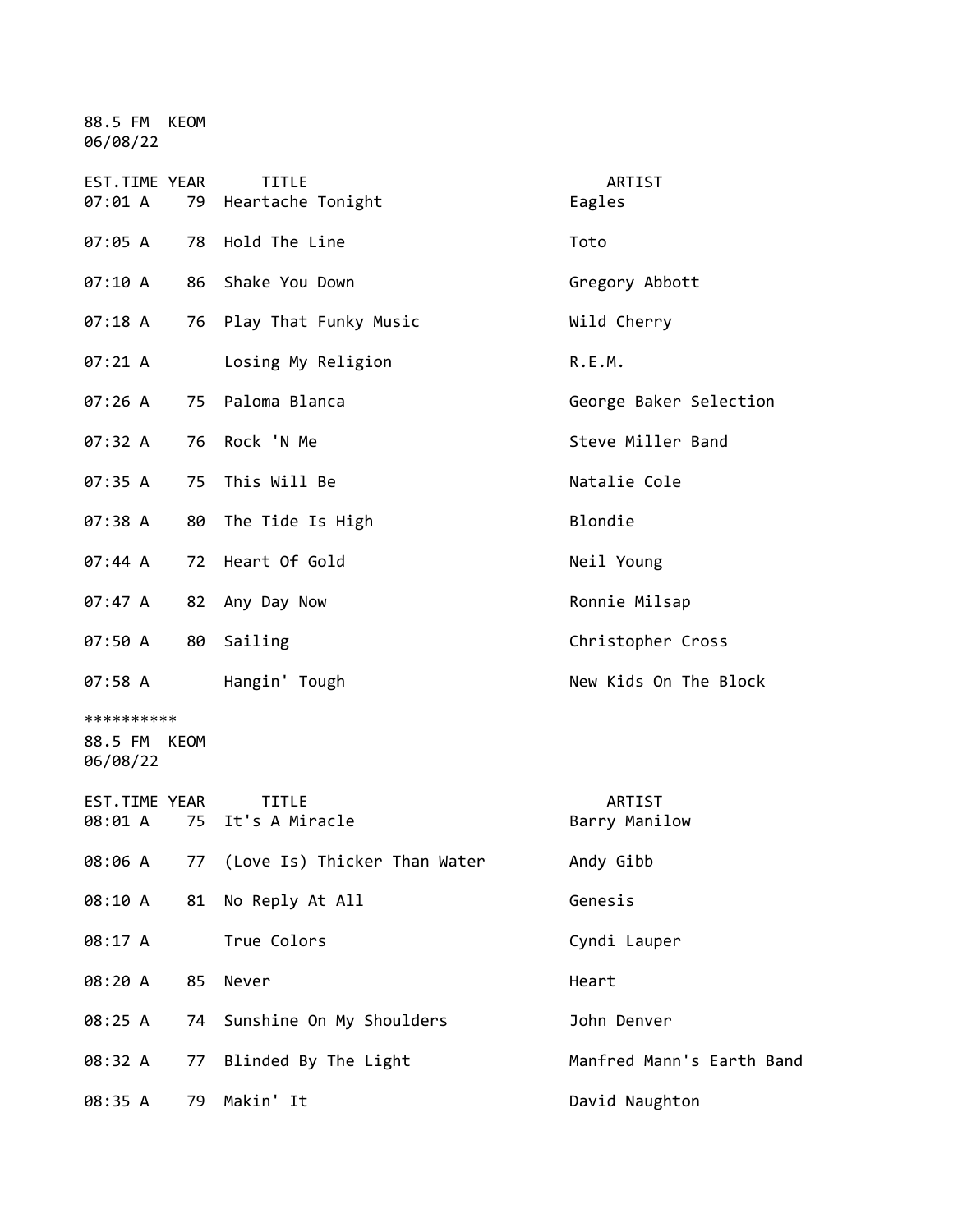88.5 FM KEOM 06/08/22

| EST.TIME YEAR<br>07:01 A               |    | <b>TITLE</b><br>79 Heartache Tonight | ARTIST<br>Eagles          |
|----------------------------------------|----|--------------------------------------|---------------------------|
| 07:05 A                                | 78 | Hold The Line                        | Toto                      |
| 07:10 A                                |    | 86 Shake You Down                    | Gregory Abbott            |
| 07:18 A                                | 76 | Play That Funky Music                | Wild Cherry               |
| 07:21 A                                |    | Losing My Religion                   | R.E.M.                    |
| 07:26A                                 | 75 | Paloma Blanca                        | George Baker Selection    |
| 07:32 A                                | 76 | Rock 'N Me                           | Steve Miller Band         |
| 07:35 A                                | 75 | This Will Be                         | Natalie Cole              |
| 07:38 A                                | 80 | The Tide Is High                     | Blondie                   |
| 07:44 A                                | 72 | Heart Of Gold                        | Neil Young                |
| 07:47 A                                | 82 | Any Day Now                          | Ronnie Milsap             |
| 07:50 A                                | 80 | Sailing                              | Christopher Cross         |
| 07:58 A                                |    | Hangin' Tough                        | New Kids On The Block     |
| **********<br>88.5 FM KEOM<br>06/08/22 |    |                                      |                           |
| EST.TIME YEAR<br>08:01 A               | 75 | <b>TITLE</b><br>It's A Miracle       | ARTIST<br>Barry Manilow   |
| 08:06 A                                | 77 | (Love Is) Thicker Than Water         | Andy Gibb                 |
| 08:10 A                                |    | 81 No Reply At All                   | Genesis                   |
| 08:17 A                                |    | True Colors                          | Cyndi Lauper              |
| 08:20 A                                | 85 | Never                                | Heart                     |
| 08:25 A                                | 74 | Sunshine On My Shoulders             | John Denver               |
| 08:32 A                                | 77 | Blinded By The Light                 | Manfred Mann's Earth Band |
| 08:35 A                                | 79 | Makin' It                            | David Naughton            |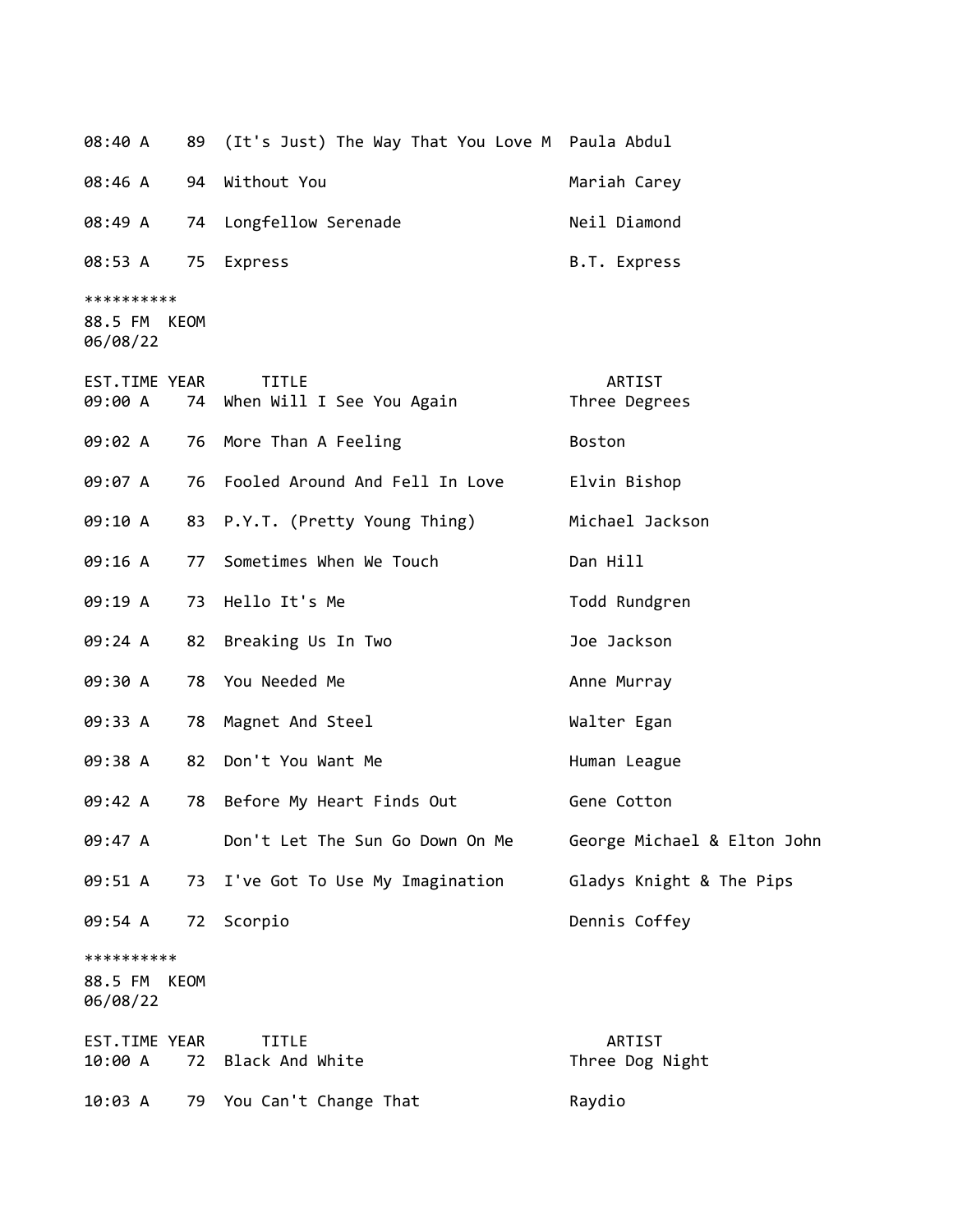| 08:40 A             |      | 89 (It's Just) The Way That You Love M Paula Abdul |              |
|---------------------|------|----------------------------------------------------|--------------|
|                     |      | 08:46 A 94 Without You                             | Mariah Carey |
| 08:49 A             |      | 74 Longfellow Serenade                             | Neil Diamond |
| 08:53 A 75 Express  |      |                                                    | B.T. Express |
| **********          |      |                                                    |              |
| 88.5 FM<br>06/08/22 | KEOM |                                                    |              |

| EST.TIME YEAR<br>09:00 A<br>74         | <b>TITLE</b><br>When Will I See You Again | ARTIST<br>Three Degrees     |
|----------------------------------------|-------------------------------------------|-----------------------------|
| 09:02 A<br>76                          | More Than A Feeling                       | Boston                      |
| 09:07 A<br>76                          | Fooled Around And Fell In Love            | Elvin Bishop                |
| 09:10 A<br>83                          | P.Y.T. (Pretty Young Thing)               | Michael Jackson             |
| 09:16 A<br>77                          | Sometimes When We Touch                   | Dan Hill                    |
| 09:19 A<br>73                          | Hello It's Me                             | Todd Rundgren               |
| 09:24 A<br>82                          | Breaking Us In Two                        | Joe Jackson                 |
| 09:30 A<br>78                          | You Needed Me                             | Anne Murray                 |
| 09:33 A<br>78                          | Magnet And Steel                          | Walter Egan                 |
| 09:38 A<br>82                          | Don't You Want Me                         | Human League                |
| 09:42 A<br>78                          | Before My Heart Finds Out                 | Gene Cotton                 |
| 09:47 A                                | Don't Let The Sun Go Down On Me           | George Michael & Elton John |
| 09:51 A<br>73                          | I've Got To Use My Imagination            | Gladys Knight & The Pips    |
| 09:54 A<br>72                          | Scorpio                                   | Dennis Coffey               |
| **********<br>88.5 FM KEOM<br>06/08/22 |                                           |                             |
| EST.TIME YEAR<br>10:00 A<br>72         | <b>TITLE</b><br>Black And White           | ARTIST<br>Three Dog Night   |
| 79<br>10:03 A                          | You Can't Change That                     | Raydio                      |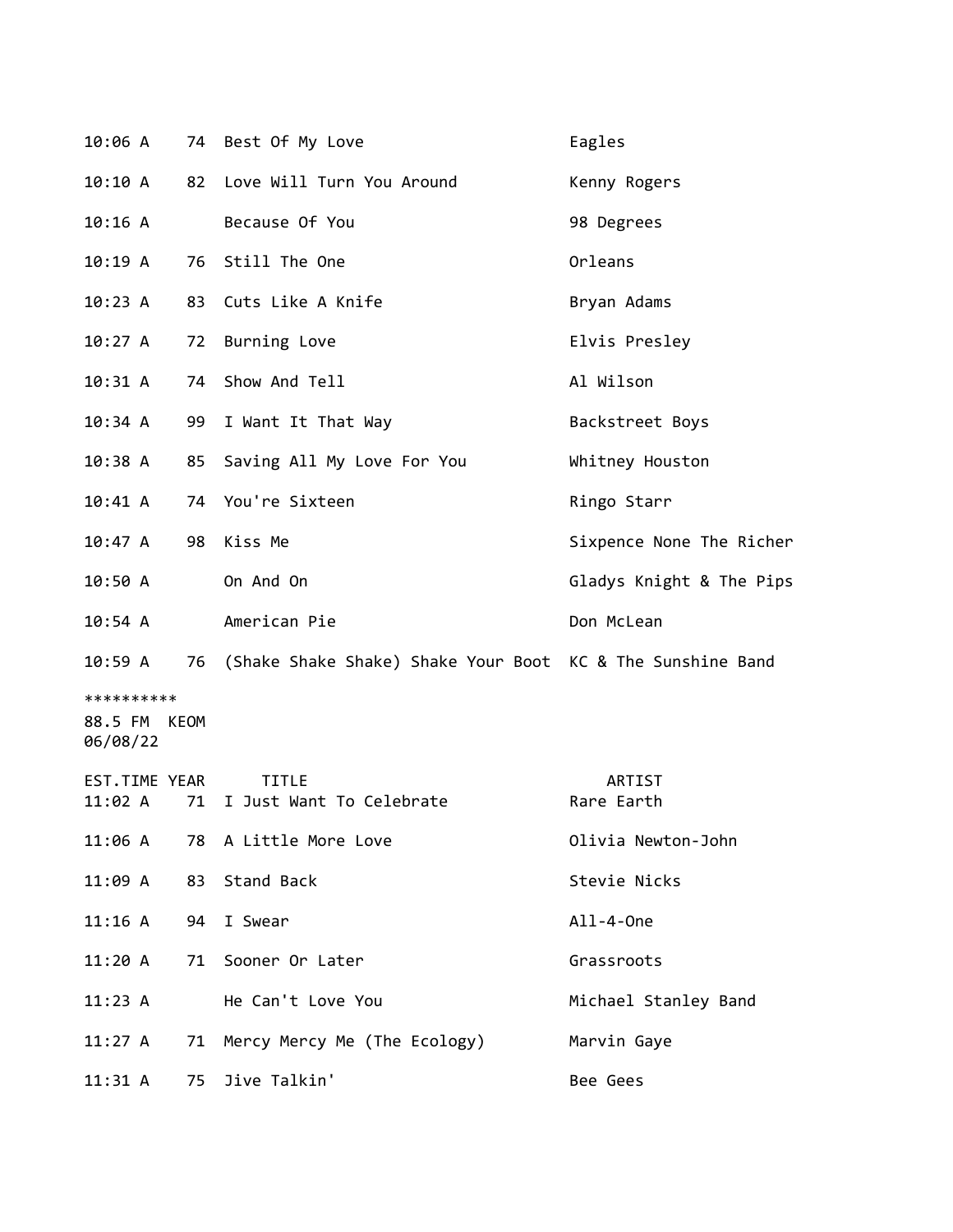| 10:06 A                                   |    | 74 Best Of My Love                                            | Eagles                   |
|-------------------------------------------|----|---------------------------------------------------------------|--------------------------|
| 10:10 A                                   | 82 | Love Will Turn You Around                                     | Kenny Rogers             |
| $10:16$ A                                 |    | Because Of You                                                | 98 Degrees               |
| 10:19A                                    | 76 | Still The One                                                 | Orleans                  |
| 10:23 A                                   | 83 | Cuts Like A Knife                                             | Bryan Adams              |
| 10:27 A                                   | 72 | Burning Love                                                  | Elvis Presley            |
| 10:31 A                                   | 74 | Show And Tell                                                 | Al Wilson                |
| 10:34 A                                   | 99 | I Want It That Way                                            | Backstreet Boys          |
| 10:38 A                                   | 85 | Saving All My Love For You                                    | Whitney Houston          |
| 10:41 A                                   |    | 74 You're Sixteen                                             | Ringo Starr              |
| 10:47 A                                   | 98 | Kiss Me                                                       | Sixpence None The Richer |
| 10:50A                                    |    | On And On                                                     | Gladys Knight & The Pips |
| $10:54$ A                                 |    | American Pie                                                  | Don McLean               |
| 10:59 A                                   |    | 76 (Shake Shake Shake) Shake Your Boot KC & The Sunshine Band |                          |
|                                           |    |                                                               |                          |
| **********<br>88.5 FM<br>KEOM<br>06/08/22 |    |                                                               |                          |
| EST.TIME YEAR<br>11:02 A                  | 71 | <b>TITLE</b><br>I Just Want To Celebrate                      | ARTIST<br>Rare Earth     |
| 11:06 A                                   |    | 78 A Little More Love                                         | Olivia Newton-John       |
| 11:09 A                                   | 83 | Stand Back                                                    | Stevie Nicks             |
| $11:16$ A                                 | 94 | I Swear                                                       | All-4-0ne                |
| 11:20A                                    | 71 | Sooner Or Later                                               | Grassroots               |
| 11:23 A                                   |    | He Can't Love You                                             | Michael Stanley Band     |
| 11:27 A                                   | 71 | Mercy Mercy Me (The Ecology)                                  | Marvin Gaye              |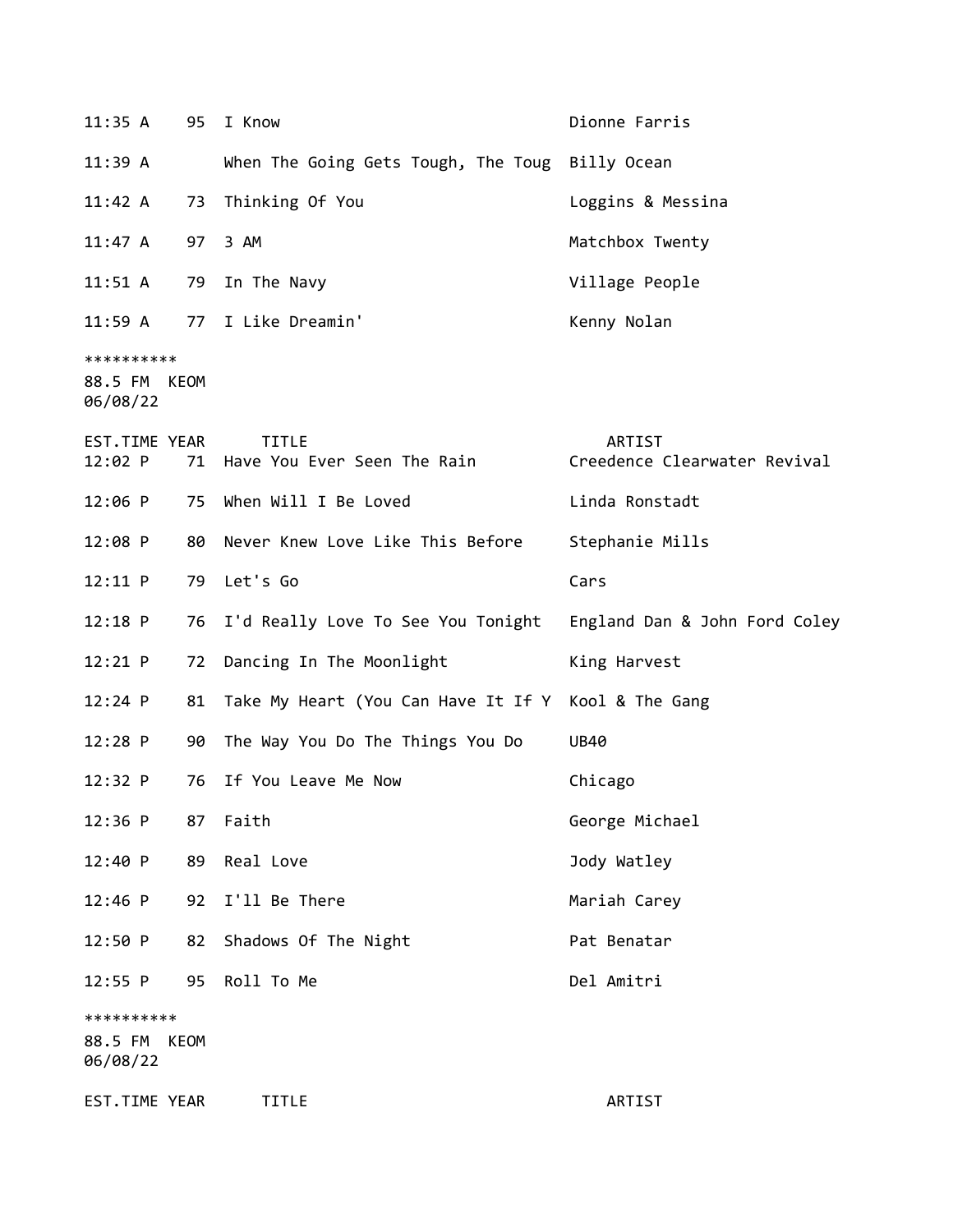| 11:35 A                                | 95 | I Know                                          | Dionne Farris                          |
|----------------------------------------|----|-------------------------------------------------|----------------------------------------|
| 11:39 A                                |    | When The Going Gets Tough, The Toug Billy Ocean |                                        |
| 11:42 A                                | 73 | Thinking Of You                                 | Loggins & Messina                      |
| 11:47 A                                | 97 | 3 AM                                            | Matchbox Twenty                        |
| 11:51 A                                | 79 | In The Navy                                     | Village People                         |
| $11:59$ A                              |    | 77 I Like Dreamin'                              | Kenny Nolan                            |
| **********<br>88.5 FM KEOM<br>06/08/22 |    |                                                 |                                        |
| EST.TIME YEAR<br>12:02 P               | 71 | <b>TITLE</b><br>Have You Ever Seen The Rain     | ARTIST<br>Creedence Clearwater Revival |
| $12:06$ P                              | 75 | When Will I Be Loved                            | Linda Ronstadt                         |
| 12:08 P                                | 80 | Never Knew Love Like This Before                | Stephanie Mills                        |
| 12:11 P                                | 79 | Let's Go                                        | Cars                                   |
| $12:18$ P                              | 76 | I'd Really Love To See You Tonight              | England Dan & John Ford Coley          |
| $12:21$ P                              | 72 | Dancing In The Moonlight                        | King Harvest                           |
| $12:24$ P                              | 81 | Take My Heart (You Can Have It If Y             | Kool & The Gang                        |
| $12:28$ P                              |    | 90 The Way You Do The Things You Do             | <b>UB40</b>                            |
| 12:32 P                                | 76 | If You Leave Me Now                             | Chicago                                |
| $12:36$ P                              | 87 | Faith                                           | George Michael                         |
| 12:40 P                                | 89 | Real Love                                       | Jody Watley                            |
| $12:46$ P                              | 92 | I'll Be There                                   | Mariah Carey                           |
| 12:50 P                                | 82 | Shadows Of The Night                            | Pat Benatar                            |
| $12:55$ P                              | 95 | Roll To Me                                      | Del Amitri                             |
| **********<br>88.5 FM KEOM<br>06/08/22 |    |                                                 |                                        |
| EST.TIME YEAR                          |    | <b>TITLE</b>                                    | ARTIST                                 |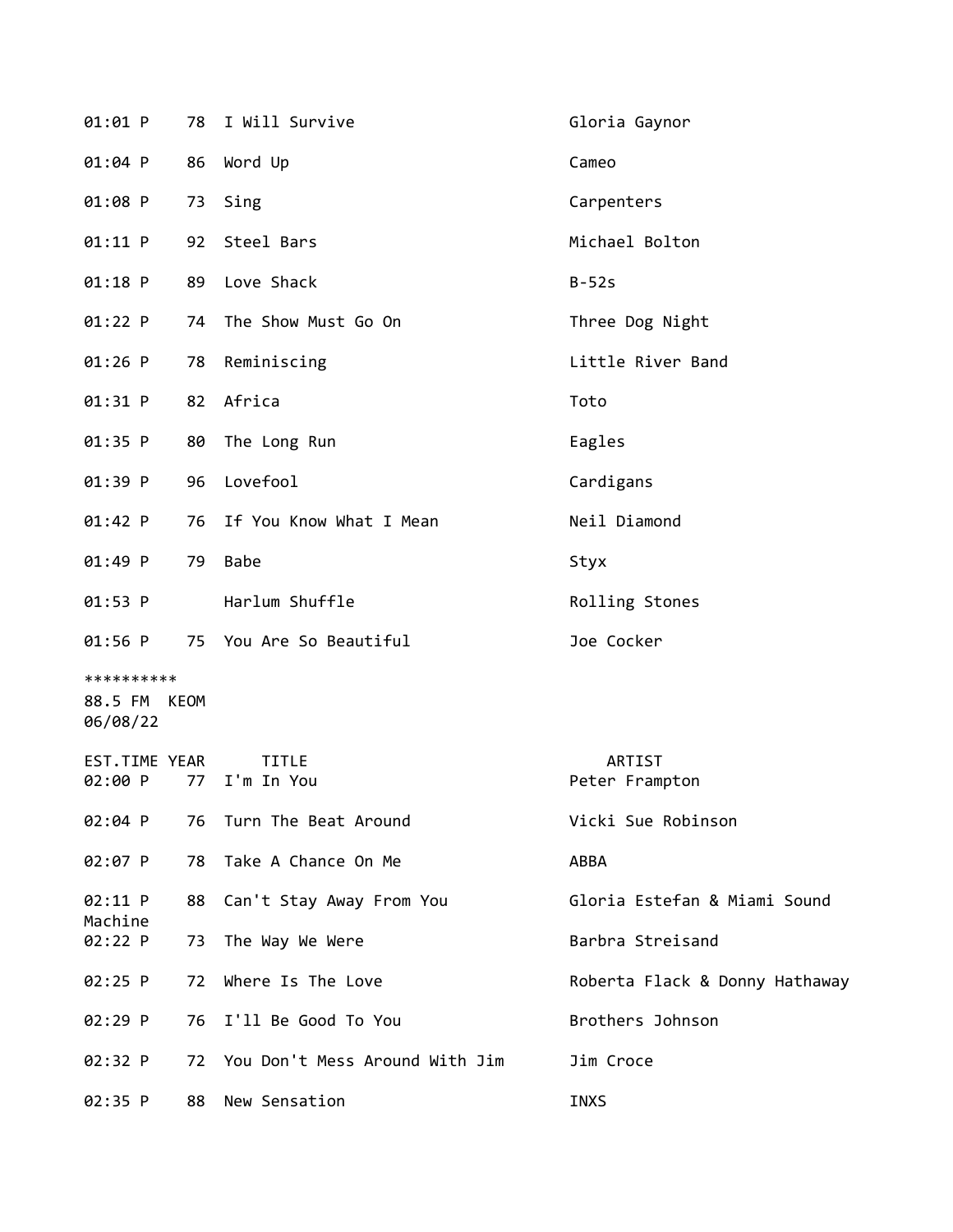| $01:01$ P                              | 78 | I Will Survive                 | Gloria Gaynor                  |
|----------------------------------------|----|--------------------------------|--------------------------------|
| 01:04 P                                | 86 | Word Up                        | Cameo                          |
| 01:08 P                                | 73 | Sing                           | Carpenters                     |
| 01:11 P                                |    | 92 Steel Bars                  | Michael Bolton                 |
| 01:18 P                                | 89 | Love Shack                     | $B-52s$                        |
| 01:22 P                                | 74 | The Show Must Go On            | Three Dog Night                |
| 01:26 P                                | 78 | Reminiscing                    | Little River Band              |
| 01:31 P                                |    | 82 Africa                      | Toto                           |
| 01:35 P                                | 80 | The Long Run                   | Eagles                         |
| 01:39 P                                | 96 | Lovefool                       | Cardigans                      |
| 01:42 P                                | 76 | If You Know What I Mean        | Neil Diamond                   |
| 01:49 P                                | 79 | <b>Babe</b>                    | Styx                           |
| $01:53$ P                              |    | Harlum Shuffle                 | Rolling Stones                 |
| $01:56$ P                              |    | 75 You Are So Beautiful        | Joe Cocker                     |
| **********<br>88.5 FM KEOM<br>06/08/22 |    |                                |                                |
| EST.TIME YEAR<br>02:00 P               | 77 | <b>TITLE</b><br>I'm In You     | ARTIST<br>Peter Frampton       |
| 02:04 P                                | 76 | Turn The Beat Around           | Vicki Sue Robinson             |
| 02:07 P                                | 78 | Take A Chance On Me            | ABBA                           |
| 02:11 P<br>Machine                     | 88 | Can't Stay Away From You       | Gloria Estefan & Miami Sound   |
| 02:22 P                                | 73 | The Way We Were                | Barbra Streisand               |
| 02:25 P                                | 72 | Where Is The Love              | Roberta Flack & Donny Hathaway |
| 02:29 P                                | 76 | I'll Be Good To You            | Brothers Johnson               |
| 02:32 P                                | 72 | You Don't Mess Around With Jim | Jim Croce                      |
| 02:35 P                                | 88 | New Sensation                  | <b>INXS</b>                    |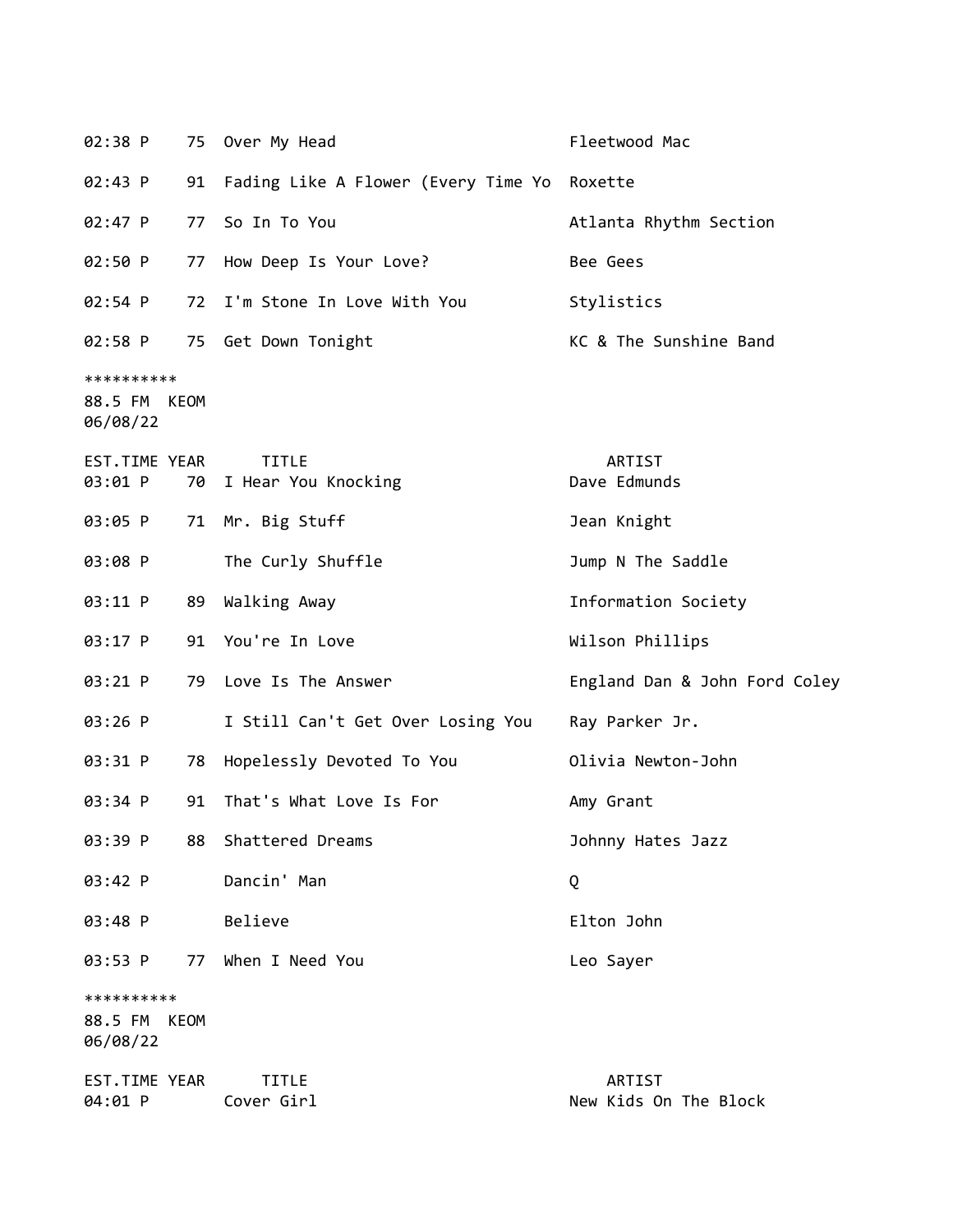| 02:38 P                                |    | 75 Over My Head                                | Fleetwood Mac                   |
|----------------------------------------|----|------------------------------------------------|---------------------------------|
| 02:43 P                                |    | 91 Fading Like A Flower (Every Time Yo Roxette |                                 |
| 02:47 P                                | 77 | So In To You                                   | Atlanta Rhythm Section          |
| 02:50 P                                |    | 77 How Deep Is Your Love?                      | Bee Gees                        |
| 02:54 P                                |    | 72 I'm Stone In Love With You                  | Stylistics                      |
| 02:58 P                                |    | 75 Get Down Tonight                            | KC & The Sunshine Band          |
| **********<br>88.5 FM KEOM<br>06/08/22 |    |                                                |                                 |
| EST.TIME YEAR<br>03:01 P               | 70 | <b>TITLE</b><br>I Hear You Knocking            | ARTIST<br>Dave Edmunds          |
| 03:05 P                                |    | 71 Mr. Big Stuff                               | Jean Knight                     |
| 03:08 P                                |    | The Curly Shuffle                              | Jump N The Saddle               |
| 03:11 P                                | 89 | Walking Away                                   | Information Society             |
| 03:17 P                                |    | 91 You're In Love                              | Wilson Phillips                 |
| 03:21 P                                | 79 | Love Is The Answer                             | England Dan & John Ford Coley   |
| 03:26 P                                |    | I Still Can't Get Over Losing You              | Ray Parker Jr.                  |
| 03:31 P                                | 78 | Hopelessly Devoted To You                      | Olivia Newton-John              |
| 03:34 P                                | 91 | That's What Love Is For                        | Amy Grant                       |
| 03:39 P                                | 88 | Shattered Dreams                               | Johnny Hates Jazz               |
| 03:42 P                                |    | Dancin' Man                                    | Q                               |
| 03:48 P                                |    | Believe                                        | Elton John                      |
| 03:53 P                                | 77 | When I Need You                                | Leo Sayer                       |
| **********<br>88.5 FM KEOM<br>06/08/22 |    |                                                |                                 |
| EST.TIME YEAR<br>04:01 P               |    | <b>TITLE</b><br>Cover Girl                     | ARTIST<br>New Kids On The Block |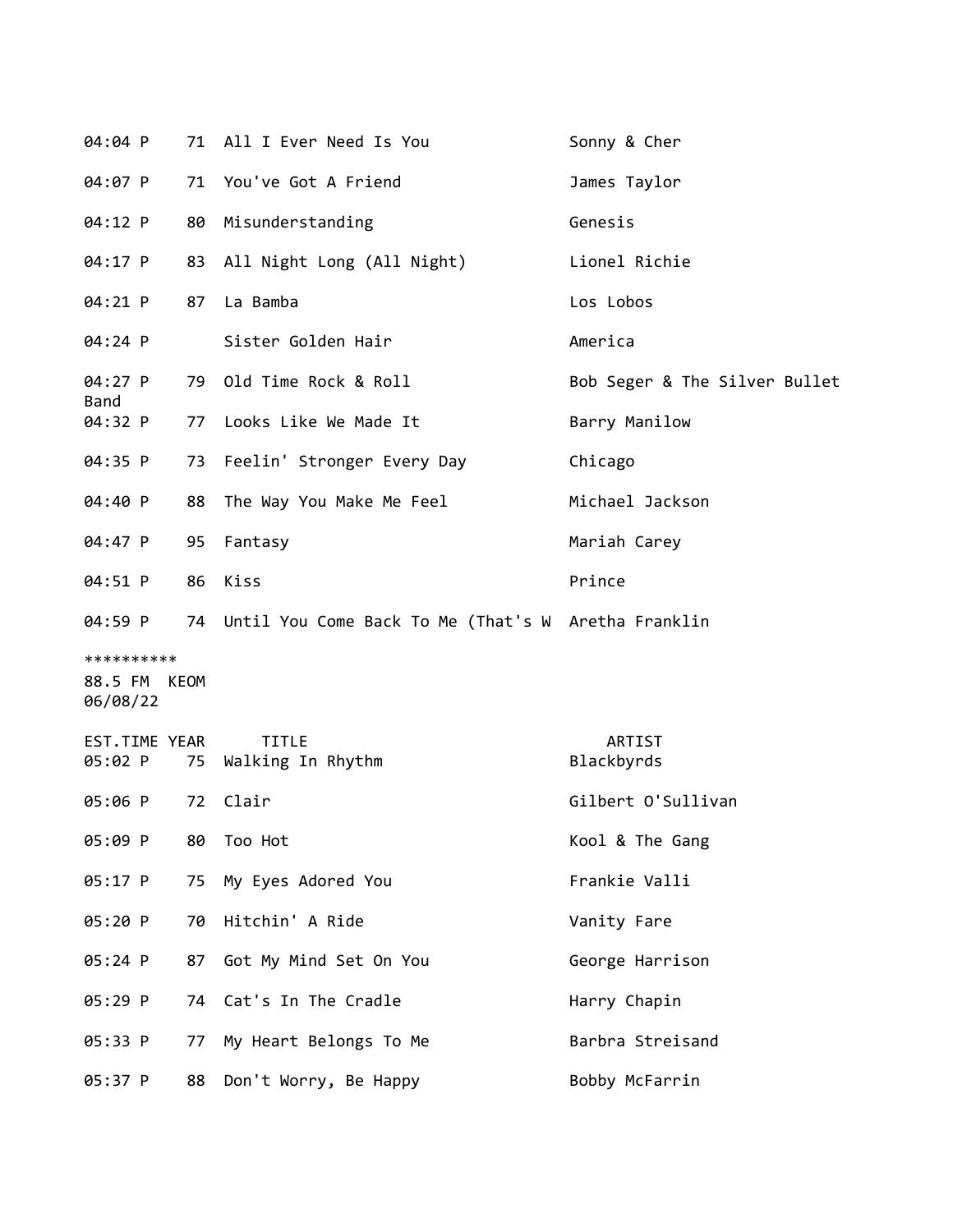| 04:04 P                  |    | 71 All I Ever Need Is You                              | Sonny & Cher                  |
|--------------------------|----|--------------------------------------------------------|-------------------------------|
| 04:07 P                  |    | 71 You've Got A Friend                                 | James Taylor                  |
| 04:12 P                  | 80 | Misunderstanding                                       | Genesis                       |
| 04:17 P                  |    | 83 All Night Long (All Night)                          | Lionel Richie                 |
| 04:21 P                  | 87 | La Bamba                                               | Los Lobos                     |
| 04:24 P                  |    | Sister Golden Hair                                     | America                       |
| $04:27$ P                |    | 79 Old Time Rock & Roll                                | Bob Seger & The Silver Bullet |
| Band<br>04:32 P          | 77 | Looks Like We Made It                                  | Barry Manilow                 |
| 04:35 P                  |    | 73 Feelin' Stronger Every Day                          | Chicago                       |
| 04:40 P                  |    | 88 The Way You Make Me Feel                            | Michael Jackson               |
| 04:47 P                  |    | 95 Fantasy                                             | Mariah Carey                  |
| 04:51 P                  | 86 | Kiss                                                   | Prince                        |
| 04:59 P                  |    | 74 Until You Come Back To Me (That's W Aretha Franklin |                               |
| **********               |    |                                                        |                               |
| 88.5 FM KEOM<br>06/08/22 |    |                                                        |                               |
| EST.TIME YEAR            |    | <b>TITLE</b>                                           | ARTIST                        |
| 05:02 P                  |    | 75 Walking In Rhythm                                   | Blackbyrds                    |
| 05:06 P                  | 72 | Clair                                                  | Gilbert O'Sullivan            |
| 05:09 P                  | 80 | Too Hot                                                | Kool & The Gang               |
| 05:17 P                  | 75 | My Eyes Adored You                                     | Frankie Valli                 |
| 05:20 P                  | 70 | Hitchin' A Ride                                        | Vanity Fare                   |
| 05:24 P                  | 87 | Got My Mind Set On You                                 | George Harrison               |
| 05:29 P                  |    | 74 Cat's In The Cradle                                 | Harry Chapin                  |
| 05:33 P                  | 77 | My Heart Belongs To Me                                 | Barbra Streisand              |
| 05:37 P                  | 88 | Don't Worry, Be Happy                                  | Bobby McFarrin                |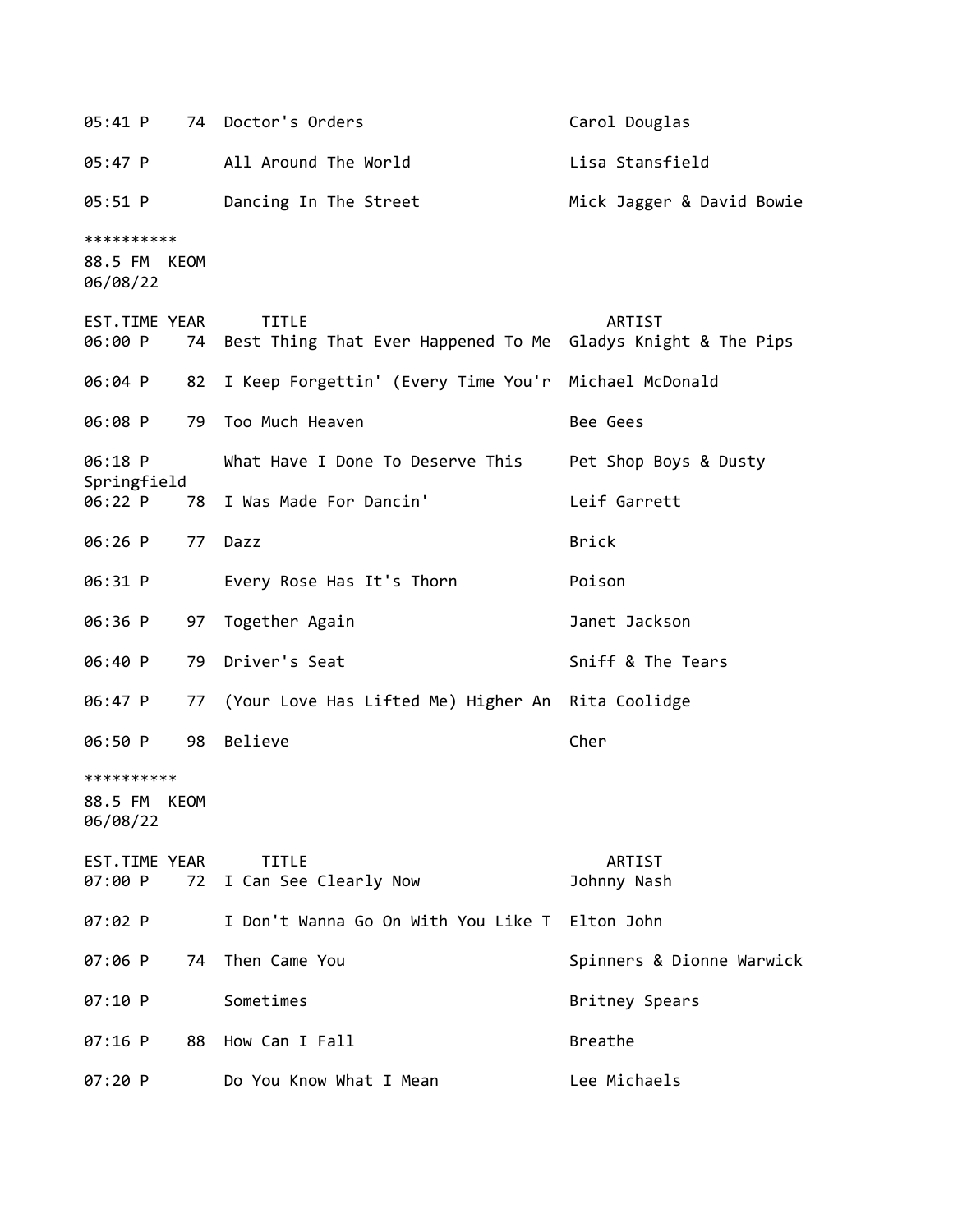05:41 P 74 Doctor's Orders Carol Douglas 05:47 P All Around The World Lisa Stansfield 05:51 P Dancing In The Street Mick Jagger & David Bowie \*\*\*\*\*\*\*\*\*\* 88.5 FM KEOM 06/08/22 EST.TIME YEAR TITLE ARTIST 06:00 P 74 Best Thing That Ever Happened To Me Gladys Knight & The Pips 06:04 P 82 I Keep Forgettin' (Every Time You'r Michael McDonald 06:08 P 79 Too Much Heaven Bee Gees 06:18 P What Have I Done To Deserve This Pet Shop Boys & Dusty Springfield 06:22 P 78 I Was Made For Dancin' Leif Garrett 06:26 P 77 Dazz Brick 06:31 P Every Rose Has It's Thorn Poison 06:36 P 97 Together Again Janet Jackson 06:40 P 79 Driver's Seat Sniff & The Tears 06:47 P 77 (Your Love Has Lifted Me) Higher An Rita Coolidge 06:50 P 98 Believe Cher \*\*\*\*\*\*\*\*\*\* 88.5 FM KEOM 06/08/22 EST.TIME YEAR TITLE ARTIST 07:00 P 72 I Can See Clearly Now Johnny Nash 07:02 P I Don't Wanna Go On With You Like T Elton John 07:06 P 74 Then Came You **Spinners & Dionne Warwick** 07:10 P Sometimes **Britney Spears** 07:16 P 88 How Can I Fall Breathe 07:20 P Do You Know What I Mean Lee Michaels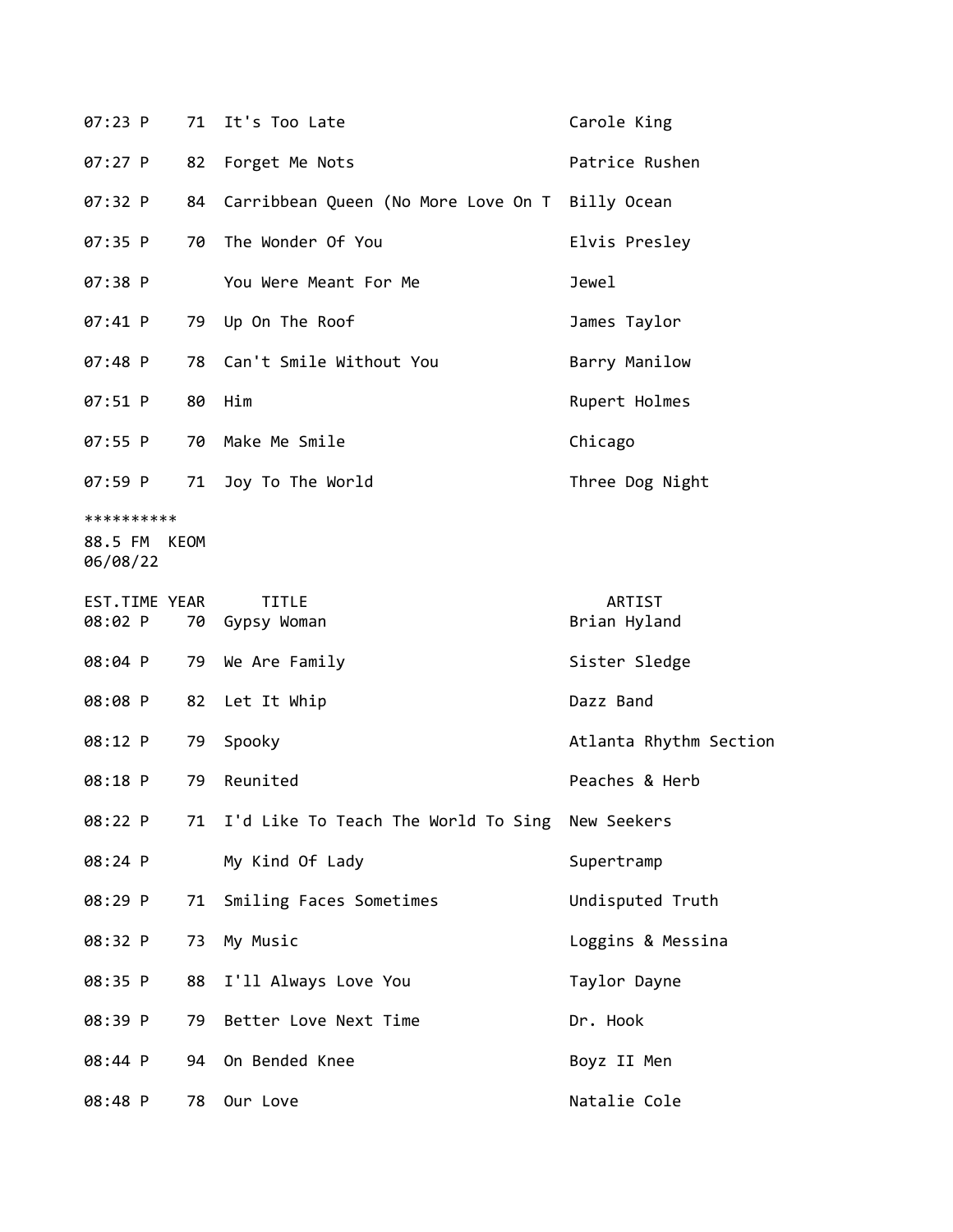| 07:23 P                                | 71 | It's Too Late                                      | Carole King            |
|----------------------------------------|----|----------------------------------------------------|------------------------|
| 07:27 P                                | 82 | Forget Me Nots                                     | Patrice Rushen         |
| 07:32 P                                | 84 | Carribbean Queen (No More Love On T Billy Ocean    |                        |
| 07:35 P                                | 70 | The Wonder Of You                                  | Elvis Presley          |
| 07:38 P                                |    | You Were Meant For Me                              | Jewel                  |
| 07:41 P                                |    | 79 Up On The Roof                                  | James Taylor           |
| 07:48 P                                |    | 78 Can't Smile Without You                         | Barry Manilow          |
| 07:51 P                                |    | 80 Him                                             | Rupert Holmes          |
| 07:55 P                                | 70 | Make Me Smile                                      | Chicago                |
| 07:59 P                                | 71 | Joy To The World                                   | Three Dog Night        |
| **********<br>88.5 FM KEOM<br>06/08/22 |    |                                                    |                        |
| EST.TIME YEAR<br>08:02 P               |    | <b>TITLE</b><br>70 Gypsy Woman                     | ARTIST<br>Brian Hyland |
| 08:04 P                                |    | 79 We Are Family                                   | Sister Sledge          |
| 08:08 P                                |    | 82 Let It Whip                                     | Dazz Band              |
| 08:12 P                                | 79 | Spooky                                             | Atlanta Rhythm Section |
| 08:18 P                                | 79 | Reunited                                           | Peaches & Herb         |
| 08:22 P                                |    | 71 I'd Like To Teach The World To Sing New Seekers |                        |
| 08:24 P                                |    | My Kind Of Lady                                    | Supertramp             |
| 08:29 P                                | 71 | Smiling Faces Sometimes                            | Undisputed Truth       |
| 08:32 P                                |    | 73 My Music                                        | Loggins & Messina      |
| 08:35 P                                | 88 | I'll Always Love You                               | Taylor Dayne           |
| 08:39 P                                | 79 | Better Love Next Time                              | Dr. Hook               |
| 08:44 P                                | 94 | On Bended Knee                                     | Boyz II Men            |
| 08:48 P                                |    |                                                    | Natalie Cole           |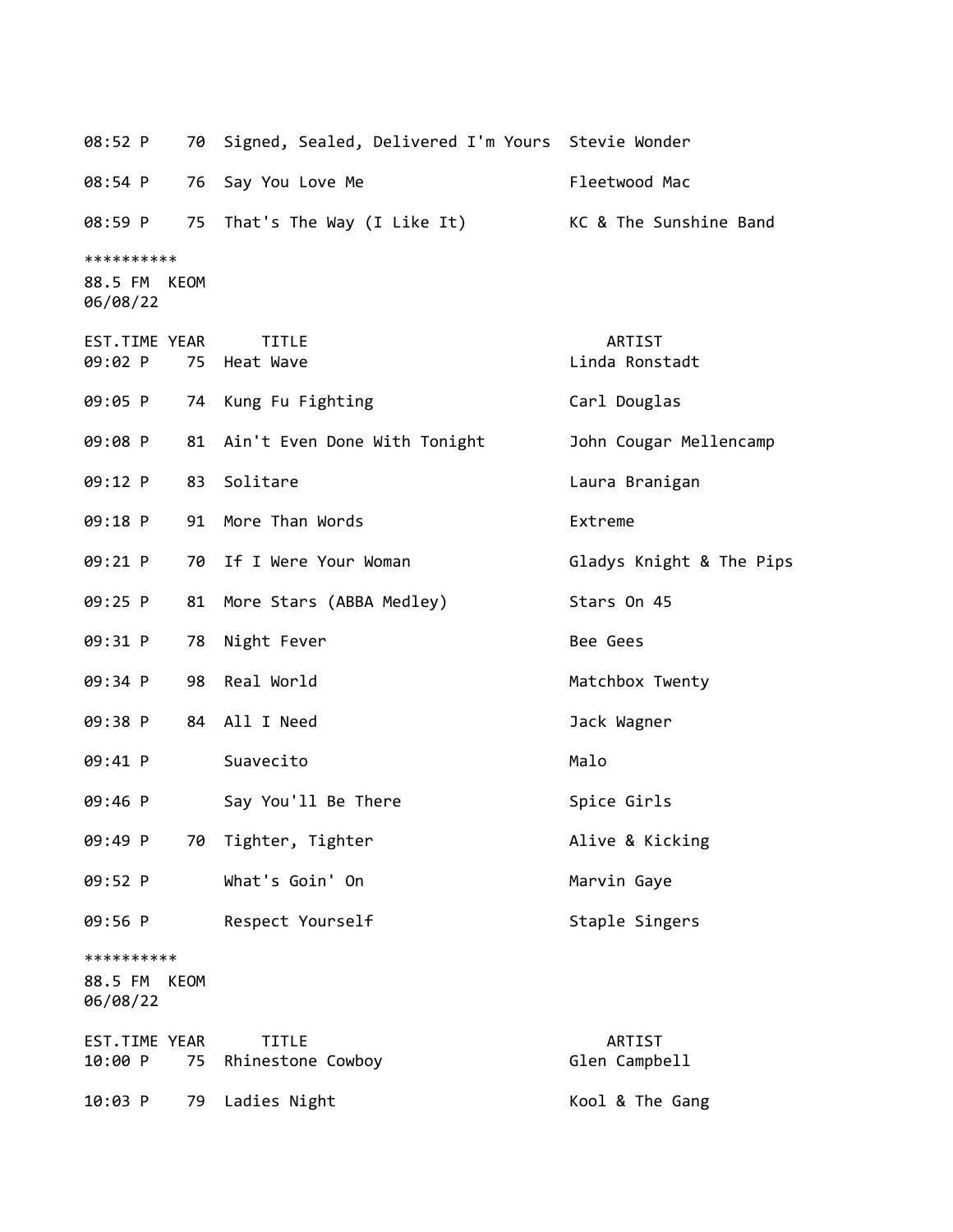| 08:52 P                                   | 70 Signed, Sealed, Delivered I'm Yours Stevie Wonder |                          |
|-------------------------------------------|------------------------------------------------------|--------------------------|
| 08:54 P                                   | Say You Love Me<br>76                                | Fleetwood Mac            |
| 08:59 P                                   | That's The Way (I Like It)<br>75                     | KC & The Sunshine Band   |
| **********<br>88.5 FM<br>KEOM<br>06/08/22 |                                                      |                          |
| EST.TIME YEAR<br>09:02 P                  | <b>TITLE</b><br>75<br>Heat Wave                      | ARTIST<br>Linda Ronstadt |
| 09:05 P                                   | 74 Kung Fu Fighting                                  | Carl Douglas             |
| 09:08 P                                   | Ain't Even Done With Tonight<br>81                   | John Cougar Mellencamp   |
| 09:12 P                                   | Solitare<br>83                                       | Laura Branigan           |
| 09:18 P                                   | More Than Words<br>91                                | Extreme                  |
| 09:21 P                                   | If I Were Your Woman<br>70                           | Gladys Knight & The Pips |
| 09:25 P                                   | More Stars (ABBA Medley)<br>81                       | Stars On 45              |
| 09:31 P<br>78                             | Night Fever                                          | Bee Gees                 |
| 09:34 P                                   | Real World<br>98                                     | Matchbox Twenty          |
| 09:38 P                                   | All I Need<br>84                                     | Jack Wagner              |
| 09:41 P                                   | Suavecito                                            | Malo                     |
| 09:46 P                                   | Say You'll Be There                                  | Spice Girls              |
| 09:49 P                                   | 70 Tighter, Tighter                                  | Alive & Kicking          |
| 09:52 P                                   | What's Goin' On                                      | Marvin Gaye              |
| 09:56 P                                   | Respect Yourself                                     | Staple Singers           |
| **********<br>88.5 FM<br>KEOM<br>06/08/22 |                                                      |                          |
| EST.TIME YEAR<br>10:00 P                  | <b>TITLE</b><br>75<br>Rhinestone Cowboy              | ARTIST<br>Glen Campbell  |
| 10:03 P                                   | Ladies Night<br>79                                   | Kool & The Gang          |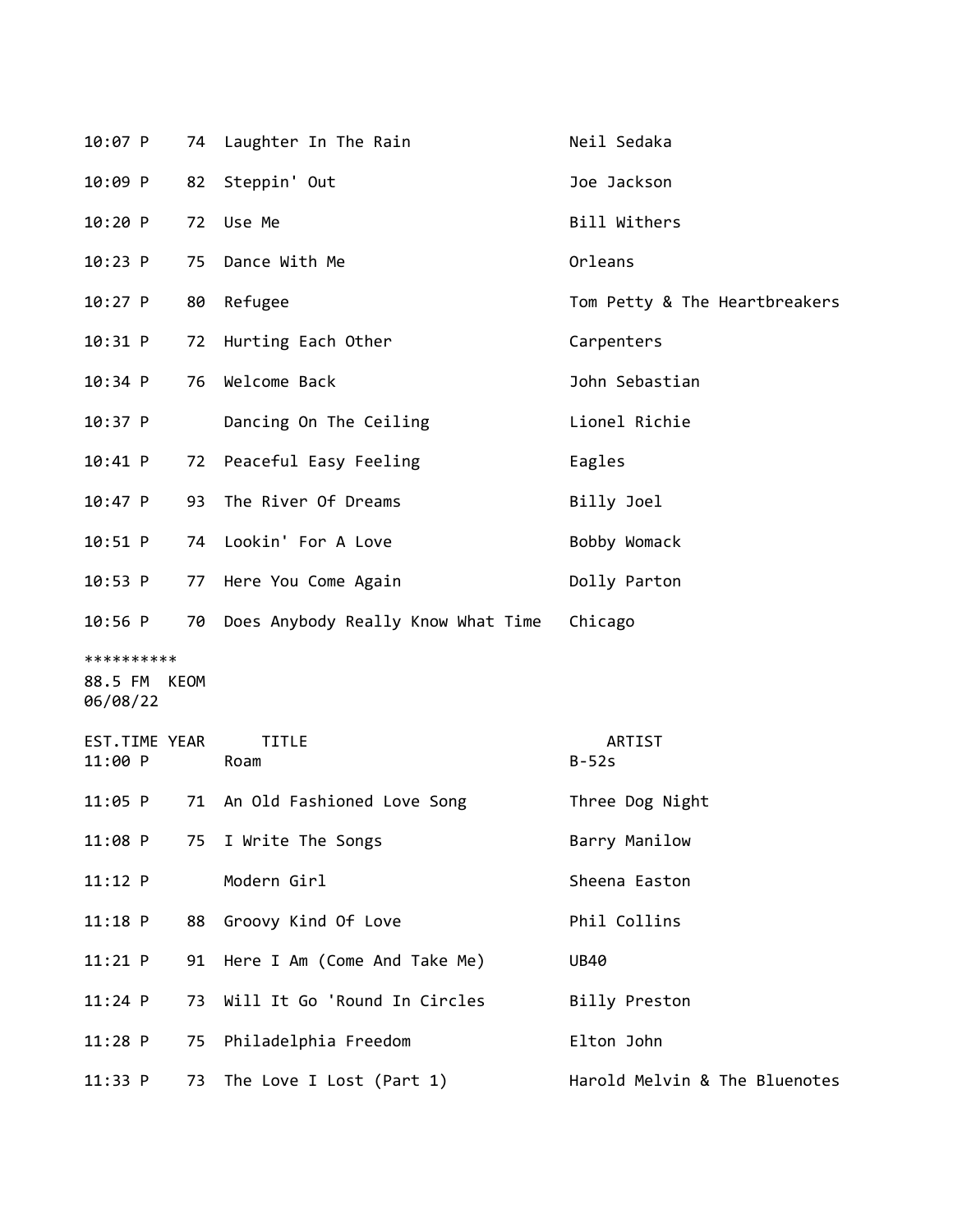| 10:07 P                  |    | 74 Laughter In The Rain               | Neil Sedaka                   |
|--------------------------|----|---------------------------------------|-------------------------------|
| 10:09 P                  | 82 | Steppin' Out                          | Joe Jackson                   |
| 10:20 P                  |    | 72 Use Me                             | Bill Withers                  |
| 10:23 P                  | 75 | Dance With Me                         | Orleans                       |
| $10:27$ P                |    | 80 Refugee                            | Tom Petty & The Heartbreakers |
| 10:31 P                  |    | 72 Hurting Each Other                 | Carpenters                    |
| $10:34$ P                |    | 76 Welcome Back                       | John Sebastian                |
| $10:37$ P                |    | Dancing On The Ceiling                | Lionel Richie                 |
| $10:41$ P                |    | 72 Peaceful Easy Feeling              | Eagles                        |
| 10:47 P                  |    | 93 The River Of Dreams                | Billy Joel                    |
| $10:51$ P                |    | 74 Lookin' For A Love                 | Bobby Womack                  |
| $10:53$ P                |    | 77 Here You Come Again                | Dolly Parton                  |
| $10:56$ P                |    | 70 Does Anybody Really Know What Time | Chicago                       |
| **********               |    |                                       |                               |
| 88.5 FM KEOM<br>06/08/22 |    |                                       |                               |
| EST.TIME YEAR<br>11:00 P |    | <b>TITLE</b><br>Roam                  | ARTIST<br>$B-52s$             |
| 11:05 P                  |    | 71 An Old Fashioned Love Song         | Three Dog Night               |
| 11:08 P                  | 75 | I Write The Songs                     | Barry Manilow                 |
| $11:12$ P                |    | Modern Girl                           | Sheena Easton                 |
| $11:18$ P                | 88 | Groovy Kind Of Love                   | Phil Collins                  |
| $11:21$ P                |    | 91 Here I Am (Come And Take Me)       | <b>UB40</b>                   |
| $11:24$ P                | 73 | Will It Go 'Round In Circles          | Billy Preston                 |
| $11:28$ P                | 75 | Philadelphia Freedom                  | Elton John                    |
| 11:33 P                  | 73 | The Love I Lost (Part 1)              | Harold Melvin & The Bluenotes |